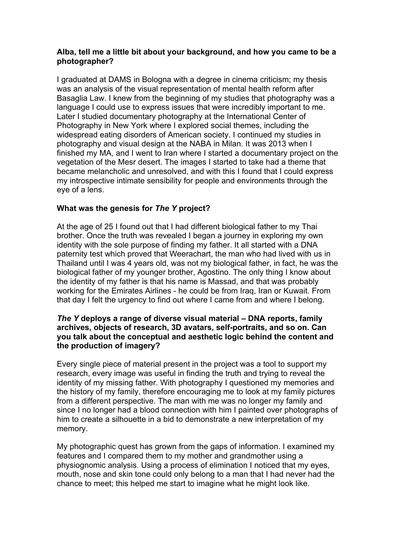## **Alba, tell me a little bit about your background, and how you came to be a photographer?**

I graduated at DAMS in Bologna with a degree in cinema criticism; my thesis was an analysis of the visual representation of mental health reform after Basaglia Law. I knew from the beginning of my studies that photography was a language I could use to express issues that were incredibly important to me. Later I studied documentary photography at the International Center of Photography in New York where I explored social themes, including the widespread eating disorders of American society. I continued my studies in photography and visual design at the NABA in Milan. It was 2013 when I finished my MA, and I went to Iran where I started a documentary project on the vegetation of the Mesr desert. The images I started to take had a theme that became melancholic and unresolved, and with this I found that I could express my introspective intimate sensibility for people and environments through the eye of a lens.

# **What was the genesis for** *The Y* **project?**

At the age of 25 I found out that I had different biological father to my Thai brother. Once the truth was revealed I began a journey in exploring my own identity with the sole purpose of finding my father. It all started with a DNA paternity test which proved that Weerachart, the man who had lived with us in Thailand until I was 4 years old, was not my biological father, in fact, he was the biological father of my younger brother, Agostino. The only thing I know about the identity of my father is that his name is Massad, and that was probably working for the Emirates Airlines - he could be from Iraq, Iran or Kuwait. From that day I felt the urgency to find out where I came from and where I belong.

### *The Y* **deploys a range of diverse visual material – DNA reports, family archives, objects of research, 3D avatars, self-portraits, and so on. Can you talk about the conceptual and aesthetic logic behind the content and the production of imagery?**

Every single piece of material present in the project was a tool to support my research, every image was useful in finding the truth and trying to reveal the identity of my missing father. With photography I questioned my memories and the history of my family, therefore encouraging me to look at my family pictures from a different perspective. The man with me was no longer my family and since I no longer had a blood connection with him I painted over photographs of him to create a silhouette in a bid to demonstrate a new interpretation of my memory.

My photographic quest has grown from the gaps of information. I examined my features and I compared them to my mother and grandmother using a physiognomic analysis. Using a process of elimination I noticed that my eyes, mouth, nose and skin tone could only belong to a man that I had never had the chance to meet; this helped me start to imagine what he might look like.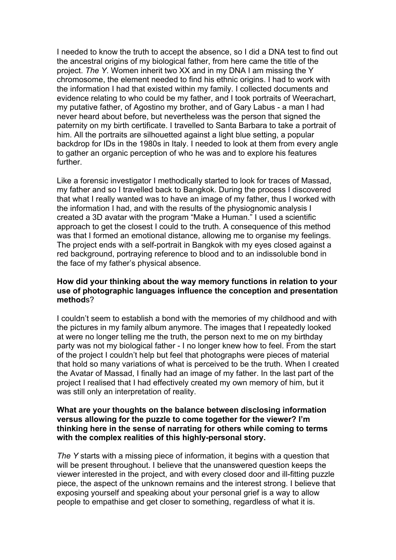I needed to know the truth to accept the absence, so I did a DNA test to find out the ancestral origins of my biological father, from here came the title of the project. *The Y*. Women inherit two XX and in my DNA I am missing the Y chromosome, the element needed to find his ethnic origins. I had to work with the information I had that existed within my family. I collected documents and evidence relating to who could be my father, and I took portraits of Weerachart, my putative father, of Agostino my brother, and of Gary Labus - a man I had never heard about before, but nevertheless was the person that signed the paternity on my birth certificate. I travelled to Santa Barbara to take a portrait of him. All the portraits are silhouetted against a light blue setting, a popular backdrop for IDs in the 1980s in Italy. I needed to look at them from every angle to gather an organic perception of who he was and to explore his features further.

Like a forensic investigator I methodically started to look for traces of Massad, my father and so I travelled back to Bangkok. During the process I discovered that what I really wanted was to have an image of my father, thus I worked with the information I had, and with the results of the physiognomic analysis I created a 3D avatar with the program "Make a Human." I used a scientific approach to get the closest I could to the truth. A consequence of this method was that I formed an emotional distance, allowing me to organise my feelings. The project ends with a self-portrait in Bangkok with my eyes closed against a red background, portraying reference to blood and to an indissoluble bond in the face of my father's physical absence.

### **How did your thinking about the way memory functions in relation to your use of photographic languages influence the conception and presentation method**s?

I couldn't seem to establish a bond with the memories of my childhood and with the pictures in my family album anymore. The images that I repeatedly looked at were no longer telling me the truth, the person next to me on my birthday party was not my biological father - I no longer knew how to feel. From the start of the project I couldn't help but feel that photographs were pieces of material that hold so many variations of what is perceived to be the truth. When I created the Avatar of Massad, I finally had an image of my father. In the last part of the project I realised that I had effectively created my own memory of him, but it was still only an interpretation of reality.

### **What are your thoughts on the balance between disclosing information versus allowing for the puzzle to come together for the viewer? I'm thinking here in the sense of narrating for others while coming to terms with the complex realities of this highly-personal story.**

*The Y* starts with a missing piece of information, it begins with a question that will be present throughout. I believe that the unanswered question keeps the viewer interested in the project, and with every closed door and ill-fitting puzzle piece, the aspect of the unknown remains and the interest strong. I believe that exposing yourself and speaking about your personal grief is a way to allow people to empathise and get closer to something, regardless of what it is.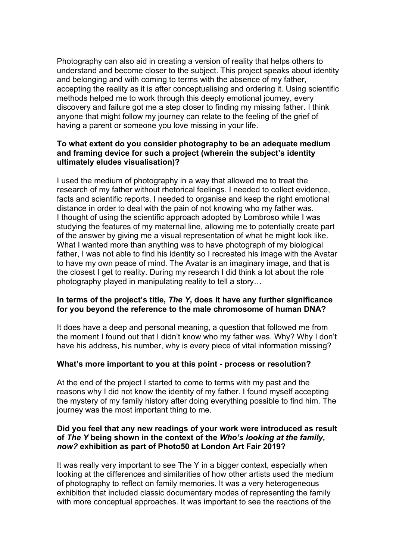Photography can also aid in creating a version of reality that helps others to understand and become closer to the subject. This project speaks about identity and belonging and with coming to terms with the absence of my father, accepting the reality as it is after conceptualising and ordering it. Using scientific methods helped me to work through this deeply emotional journey, every discovery and failure got me a step closer to finding my missing father. I think anyone that might follow my journey can relate to the feeling of the grief of having a parent or someone you love missing in your life.

### **To what extent do you consider photography to be an adequate medium and framing device for such a project (wherein the subject's identity ultimately eludes visualisation)?**

I used the medium of photography in a way that allowed me to treat the research of my father without rhetorical feelings. I needed to collect evidence, facts and scientific reports. I needed to organise and keep the right emotional distance in order to deal with the pain of not knowing who my father was. I thought of using the scientific approach adopted by Lombroso while I was studying the features of my maternal line, allowing me to potentially create part of the answer by giving me a visual representation of what he might look like. What I wanted more than anything was to have photograph of my biological father, I was not able to find his identity so I recreated his image with the Avatar to have my own peace of mind. The Avatar is an imaginary image, and that is the closest I get to reality. During my research I did think a lot about the role photography played in manipulating reality to tell a story…

### **In terms of the project's title,** *The Y***, does it have any further significance for you beyond the reference to the male chromosome of human DNA?**

It does have a deep and personal meaning, a question that followed me from the moment I found out that I didn't know who my father was. Why? Why I don't have his address, his number, why is every piece of vital information missing?

### **What's more important to you at this point - process or resolution?**

At the end of the project I started to come to terms with my past and the reasons why I did not know the identity of my father. I found myself accepting the mystery of my family history after doing everything possible to find him. The journey was the most important thing to me.

#### **Did you feel that any new readings of your work were introduced as result of** *The Y* **being shown in the context of the** *Who's looking at the family, now?* **exhibition as part of Photo50 at London Art Fair 2019?**

It was really very important to see The Y in a bigger context, especially when looking at the differences and similarities of how other artists used the medium of photography to reflect on family memories. It was a very heterogeneous exhibition that included classic documentary modes of representing the family with more conceptual approaches. It was important to see the reactions of the